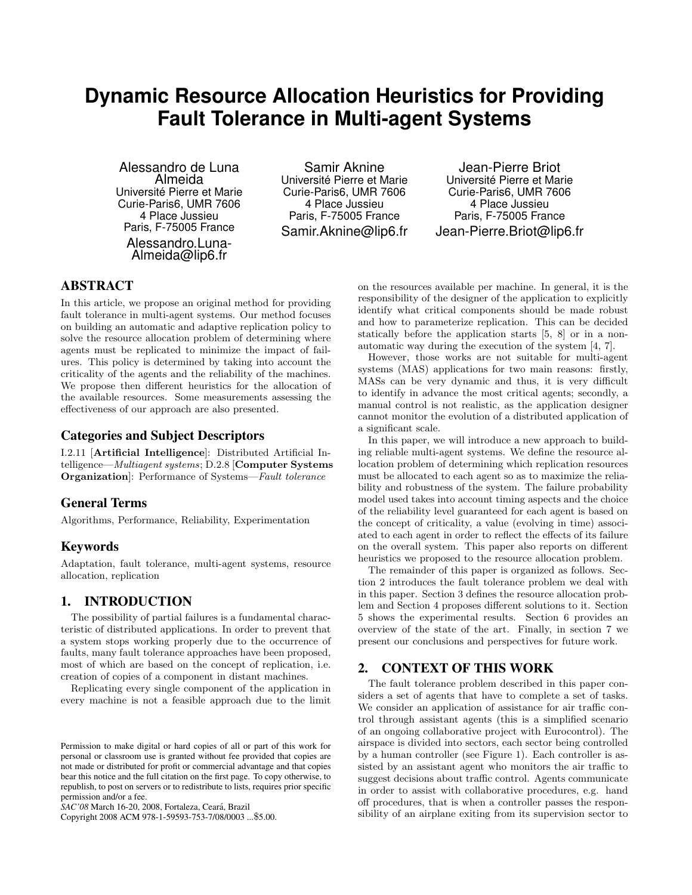# **Dynamic Resource Allocation Heuristics for Providing Fault Tolerance in Multi-agent Systems**

Alessandro de Luna Almeida Universite Pierre et Marie ´ Curie-Paris6, UMR 7606 4 Place Jussieu Paris, F-75005 France Alessandro.Luna-Almeida@lip6.fr

Samir Aknine Universite Pierre et Marie ´ Curie-Paris6, UMR 7606 4 Place Jussieu Paris, F-75005 France Samir.Aknine@lip6.fr

Jean-Pierre Briot Universite Pierre et Marie ´ Curie-Paris6, UMR 7606 4 Place Jussieu Paris, F-75005 France Jean-Pierre.Briot@lip6.fr

# ABSTRACT

In this article, we propose an original method for providing fault tolerance in multi-agent systems. Our method focuses on building an automatic and adaptive replication policy to solve the resource allocation problem of determining where agents must be replicated to minimize the impact of failures. This policy is determined by taking into account the criticality of the agents and the reliability of the machines. We propose then different heuristics for the allocation of the available resources. Some measurements assessing the effectiveness of our approach are also presented.

# Categories and Subject Descriptors

I.2.11 [Artificial Intelligence]: Distributed Artificial Intelligence—Multiagent systems; D.2.8 [Computer Systems Organization]: Performance of Systems—Fault tolerance

# General Terms

Algorithms, Performance, Reliability, Experimentation

# Keywords

Adaptation, fault tolerance, multi-agent systems, resource allocation, replication

# 1. INTRODUCTION

The possibility of partial failures is a fundamental characteristic of distributed applications. In order to prevent that a system stops working properly due to the occurrence of faults, many fault tolerance approaches have been proposed, most of which are based on the concept of replication, i.e. creation of copies of a component in distant machines.

Replicating every single component of the application in every machine is not a feasible approach due to the limit

*SAC'08* March 16-20, 2008, Fortaleza, Ceara, Brazil ´

Copyright 2008 ACM 978-1-59593-753-7/08/0003 ...\$5.00.

on the resources available per machine. In general, it is the responsibility of the designer of the application to explicitly identify what critical components should be made robust and how to parameterize replication. This can be decided statically before the application starts [5, 8] or in a nonautomatic way during the execution of the system [4, 7].

However, those works are not suitable for multi-agent systems (MAS) applications for two main reasons: firstly, MASs can be very dynamic and thus, it is very difficult to identify in advance the most critical agents; secondly, a manual control is not realistic, as the application designer cannot monitor the evolution of a distributed application of a significant scale.

In this paper, we will introduce a new approach to building reliable multi-agent systems. We define the resource allocation problem of determining which replication resources must be allocated to each agent so as to maximize the reliability and robustness of the system. The failure probability model used takes into account timing aspects and the choice of the reliability level guaranteed for each agent is based on the concept of criticality, a value (evolving in time) associated to each agent in order to reflect the effects of its failure on the overall system. This paper also reports on different heuristics we proposed to the resource allocation problem.

The remainder of this paper is organized as follows. Section 2 introduces the fault tolerance problem we deal with in this paper. Section 3 defines the resource allocation problem and Section 4 proposes different solutions to it. Section 5 shows the experimental results. Section 6 provides an overview of the state of the art. Finally, in section 7 we present our conclusions and perspectives for future work.

# 2. CONTEXT OF THIS WORK

The fault tolerance problem described in this paper considers a set of agents that have to complete a set of tasks. We consider an application of assistance for air traffic control through assistant agents (this is a simplified scenario of an ongoing collaborative project with Eurocontrol). The airspace is divided into sectors, each sector being controlled by a human controller (see Figure 1). Each controller is assisted by an assistant agent who monitors the air traffic to suggest decisions about traffic control. Agents communicate in order to assist with collaborative procedures, e.g. hand off procedures, that is when a controller passes the responsibility of an airplane exiting from its supervision sector to

Permission to make digital or hard copies of all or part of this work for personal or classroom use is granted without fee provided that copies are not made or distributed for profit or commercial advantage and that copies bear this notice and the full citation on the first page. To copy otherwise, to republish, to post on servers or to redistribute to lists, requires prior specific permission and/or a fee.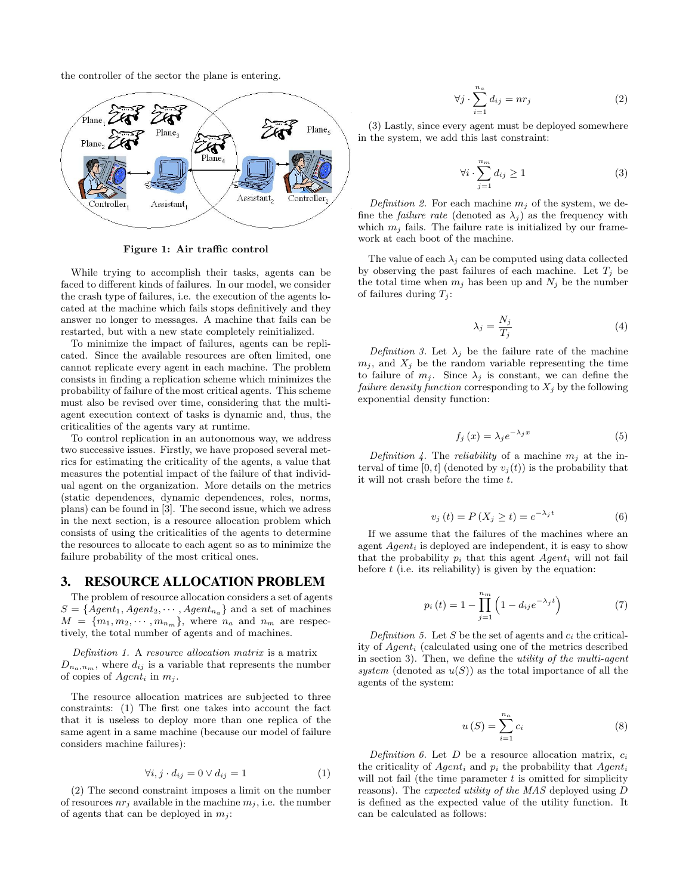the controller of the sector the plane is entering.



Figure 1: Air traffic control

While trying to accomplish their tasks, agents can be faced to different kinds of failures. In our model, we consider the crash type of failures, i.e. the execution of the agents located at the machine which fails stops definitively and they answer no longer to messages. A machine that fails can be restarted, but with a new state completely reinitialized.

To minimize the impact of failures, agents can be replicated. Since the available resources are often limited, one cannot replicate every agent in each machine. The problem consists in finding a replication scheme which minimizes the probability of failure of the most critical agents. This scheme must also be revised over time, considering that the multiagent execution context of tasks is dynamic and, thus, the criticalities of the agents vary at runtime.

To control replication in an autonomous way, we address two successive issues. Firstly, we have proposed several metrics for estimating the criticality of the agents, a value that measures the potential impact of the failure of that individual agent on the organization. More details on the metrics (static dependences, dynamic dependences, roles, norms, plans) can be found in [3]. The second issue, which we adress in the next section, is a resource allocation problem which consists of using the criticalities of the agents to determine the resources to allocate to each agent so as to minimize the failure probability of the most critical ones.

#### 3. RESOURCE ALLOCATION PROBLEM

The problem of resource allocation considers a set of agents  $S = \{Agent_1, Agent_2, \cdots, Agent_{n_a}\}$  and a set of machines  $M = \{m_1, m_2, \cdots, m_{n_m}\},\$  where  $n_a$  and  $n_m$  are respectively, the total number of agents and of machines.

Definition 1. A resource allocation matrix is a matrix  $D_{n_a,n_m}$ , where  $d_{ij}$  is a variable that represents the number of copies of  $Agent_i$  in  $m_j$ .

The resource allocation matrices are subjected to three constraints: (1) The first one takes into account the fact that it is useless to deploy more than one replica of the same agent in a same machine (because our model of failure considers machine failures):

$$
\forall i, j \cdot d_{ij} = 0 \lor d_{ij} = 1 \tag{1}
$$

(2) The second constraint imposes a limit on the number of resources  $nr_i$  available in the machine  $m_i$ , i.e. the number of agents that can be deployed in  $m_i$ :

$$
\forall j \cdot \sum_{i=1}^{n_a} d_{ij} = nr_j \tag{2}
$$

(3) Lastly, since every agent must be deployed somewhere in the system, we add this last constraint:

$$
\forall i \cdot \sum_{j=1}^{n_m} d_{ij} \ge 1 \tag{3}
$$

Definition 2. For each machine  $m_i$  of the system, we define the *failure rate* (denoted as  $\lambda_j$ ) as the frequency with which  $m_i$  fails. The failure rate is initialized by our framework at each boot of the machine.

The value of each  $\lambda_i$  can be computed using data collected by observing the past failures of each machine. Let  $T_i$  be the total time when  $m_i$  has been up and  $N_i$  be the number of failures during  $T_i$ :

$$
\lambda_j = \frac{N_j}{T_j} \tag{4}
$$

Definition 3. Let  $\lambda_j$  be the failure rate of the machine  $m_j$ , and  $X_j$  be the random variable representing the time to failure of  $m_j$ . Since  $\lambda_j$  is constant, we can define the *failure density function* corresponding to  $X_j$  by the following exponential density function:

$$
f_j(x) = \lambda_j e^{-\lambda_j x} \tag{5}
$$

Definition 4. The reliability of a machine  $m_i$  at the interval of time [0, t] (denoted by  $v_i(t)$ ) is the probability that it will not crash before the time  $t$ .

$$
v_j(t) = P(X_j \ge t) = e^{-\lambda_j t} \tag{6}
$$

If we assume that the failures of the machines where an agent  $Agent_i$  is deployed are independent, it is easy to show that the probability  $p_i$  that this agent  $Agent_i$  will not fail before  $t$  (i.e. its reliability) is given by the equation:

$$
p_i(t) = 1 - \prod_{j=1}^{n_m} \left( 1 - d_{ij} e^{-\lambda_j t} \right)
$$
 (7)

Definition 5. Let S be the set of agents and  $c_i$  the criticality of  $Agent_i$  (calculated using one of the metrics described in section 3). Then, we define the utility of the multi-agent system (denoted as  $u(S)$ ) as the total importance of all the agents of the system:

$$
u(S) = \sum_{i=1}^{n_a} c_i
$$
 (8)

Definition 6. Let  $D$  be a resource allocation matrix,  $c_i$ the criticality of  $Agent_i$  and  $p_i$  the probability that  $Agent_i$ will not fail (the time parameter  $t$  is omitted for simplicity reasons). The expected utility of the MAS deployed using D is defined as the expected value of the utility function. It can be calculated as follows: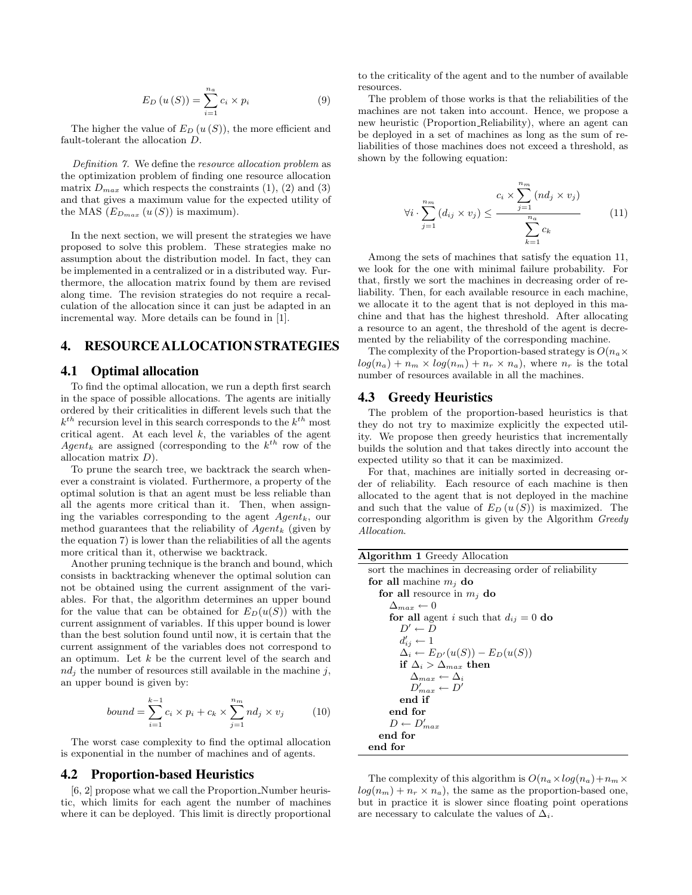$$
E_D\left(u\left(S\right)\right) = \sum_{i=1}^{n_a} c_i \times p_i \tag{9}
$$

The higher the value of  $E_D(u(S))$ , the more efficient and fault-tolerant the allocation D.

Definition 7. We define the resource allocation problem as the optimization problem of finding one resource allocation matrix  $D_{max}$  which respects the constraints (1), (2) and (3) and that gives a maximum value for the expected utility of the MAS  $(E_{D_{max}}(u(S))$  is maximum).

In the next section, we will present the strategies we have proposed to solve this problem. These strategies make no assumption about the distribution model. In fact, they can be implemented in a centralized or in a distributed way. Furthermore, the allocation matrix found by them are revised along time. The revision strategies do not require a recalculation of the allocation since it can just be adapted in an incremental way. More details can be found in [1].

## 4. RESOURCE ALLOCATION STRATEGIES

## 4.1 Optimal allocation

To find the optimal allocation, we run a depth first search in the space of possible allocations. The agents are initially ordered by their criticalities in different levels such that the  $k^{th}$  recursion level in this search corresponds to the  $k^{th}$  most critical agent. At each level  $k$ , the variables of the agent  $Agent_k$  are assigned (corresponding to the  $k^{th}$  row of the allocation matrix D).

To prune the search tree, we backtrack the search whenever a constraint is violated. Furthermore, a property of the optimal solution is that an agent must be less reliable than all the agents more critical than it. Then, when assigning the variables corresponding to the agent  $Agent_k$ , our method guarantees that the reliability of  $Agent_k$  (given by the equation 7) is lower than the reliabilities of all the agents more critical than it, otherwise we backtrack.

Another pruning technique is the branch and bound, which consists in backtracking whenever the optimal solution can not be obtained using the current assignment of the variables. For that, the algorithm determines an upper bound for the value that can be obtained for  $E_D(u(S))$  with the current assignment of variables. If this upper bound is lower than the best solution found until now, it is certain that the current assignment of the variables does not correspond to an optimum. Let  $k$  be the current level of the search and  $nd_i$  the number of resources still available in the machine j, an upper bound is given by:

$$
bound = \sum_{i=1}^{k-1} c_i \times p_i + c_k \times \sum_{j=1}^{n_m} nd_j \times v_j
$$
 (10)

The worst case complexity to find the optimal allocation is exponential in the number of machines and of agents.

#### 4.2 Proportion-based Heuristics

[6, 2] propose what we call the Proportion Number heuristic, which limits for each agent the number of machines where it can be deployed. This limit is directly proportional to the criticality of the agent and to the number of available resources.

The problem of those works is that the reliabilities of the machines are not taken into account. Hence, we propose a new heuristic (Proportion Reliability), where an agent can be deployed in a set of machines as long as the sum of reliabilities of those machines does not exceed a threshold, as shown by the following equation:

$$
\forall i \cdot \sum_{j=1}^{n_m} (d_{ij} \times v_j) \leq \frac{c_i \times \sum_{j=1}^{n_m} (nd_j \times v_j)}{\sum_{k=1}^{n_a} c_k} \tag{11}
$$

Among the sets of machines that satisfy the equation 11, we look for the one with minimal failure probability. For that, firstly we sort the machines in decreasing order of reliability. Then, for each available resource in each machine, we allocate it to the agent that is not deployed in this machine and that has the highest threshold. After allocating a resource to an agent, the threshold of the agent is decremented by the reliability of the corresponding machine.

The complexity of the Proportion-based strategy is  $O(n_a \times$  $log(n_a) + n_m \times log(n_m) + n_r \times n_a)$ , where  $n_r$  is the total number of resources available in all the machines.

# 4.3 Greedy Heuristics

The problem of the proportion-based heuristics is that they do not try to maximize explicitly the expected utility. We propose then greedy heuristics that incrementally builds the solution and that takes directly into account the expected utility so that it can be maximized.

For that, machines are initially sorted in decreasing order of reliability. Each resource of each machine is then allocated to the agent that is not deployed in the machine and such that the value of  $E_D(u(S))$  is maximized. The corresponding algorithm is given by the Algorithm Greedy Allocation.

| <b>Algorithm 1</b> Greedy Allocation                 |
|------------------------------------------------------|
| sort the machines in decreasing order of reliability |
| for all machine $m_i$ do                             |
| for all resource in $m_i$ do                         |
| $\Delta_{max} \leftarrow 0$                          |
| for all agent i such that $d_{ij} = 0$ do            |
| $D' \leftarrow D$                                    |
| $d'_{ij} \leftarrow 1$                               |
| $\Delta_i \leftarrow E_{D'}(u(S)) - E_D(u(S))$       |
| if $\Delta_i > \Delta_{max}$ then                    |
| $\Delta_{max} \leftarrow \Delta_i$                   |
| $D'_{max} \leftarrow D'$                             |
| end if                                               |
| end for                                              |
| $D \leftarrow D'_{max}$                              |
| end for                                              |
| end for                                              |
|                                                      |

The complexity of this algorithm is  $O(n_a \times log(n_a) + n_m \times$  $log(n_m) + n_r \times n_a$ , the same as the proportion-based one, but in practice it is slower since floating point operations are necessary to calculate the values of  $\Delta_i$ .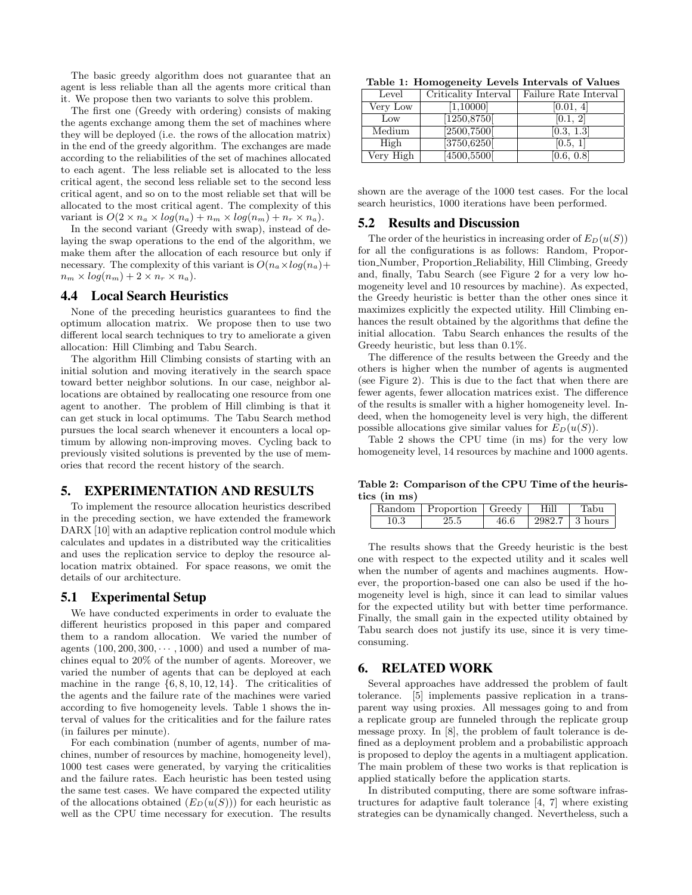The basic greedy algorithm does not guarantee that an agent is less reliable than all the agents more critical than it. We propose then two variants to solve this problem.

The first one (Greedy with ordering) consists of making the agents exchange among them the set of machines where they will be deployed (i.e. the rows of the allocation matrix) in the end of the greedy algorithm. The exchanges are made according to the reliabilities of the set of machines allocated to each agent. The less reliable set is allocated to the less critical agent, the second less reliable set to the second less critical agent, and so on to the most reliable set that will be allocated to the most critical agent. The complexity of this variant is  $O(2 \times n_a \times log(n_a) + n_m \times log(n_m) + n_r \times n_a)$ .

In the second variant (Greedy with swap), instead of delaying the swap operations to the end of the algorithm, we make them after the allocation of each resource but only if necessary. The complexity of this variant is  $O(n_a \times log(n_a))$  $n_m \times \log(n_m) + 2 \times n_r \times n_a$ .

#### 4.4 Local Search Heuristics

None of the preceding heuristics guarantees to find the optimum allocation matrix. We propose then to use two different local search techniques to try to ameliorate a given allocation: Hill Climbing and Tabu Search.

The algorithm Hill Climbing consists of starting with an initial solution and moving iteratively in the search space toward better neighbor solutions. In our case, neighbor allocations are obtained by reallocating one resource from one agent to another. The problem of Hill climbing is that it can get stuck in local optimums. The Tabu Search method pursues the local search whenever it encounters a local optimum by allowing non-improving moves. Cycling back to previously visited solutions is prevented by the use of memories that record the recent history of the search.

## 5. EXPERIMENTATION AND RESULTS

To implement the resource allocation heuristics described in the preceding section, we have extended the framework DARX [10] with an adaptive replication control module which calculates and updates in a distributed way the criticalities and uses the replication service to deploy the resource allocation matrix obtained. For space reasons, we omit the details of our architecture.

#### 5.1 Experimental Setup

We have conducted experiments in order to evaluate the different heuristics proposed in this paper and compared them to a random allocation. We varied the number of agents  $(100, 200, 300, \dots, 1000)$  and used a number of machines equal to 20% of the number of agents. Moreover, we varied the number of agents that can be deployed at each machine in the range  $\{6, 8, 10, 12, 14\}$ . The criticalities of the agents and the failure rate of the machines were varied according to five homogeneity levels. Table 1 shows the interval of values for the criticalities and for the failure rates (in failures per minute).

For each combination (number of agents, number of machines, number of resources by machine, homogeneity level), 1000 test cases were generated, by varying the criticalities and the failure rates. Each heuristic has been tested using the same test cases. We have compared the expected utility of the allocations obtained  $(E_D(u(S)))$  for each heuristic as well as the CPU time necessary for execution. The results

Table 1: Homogeneity Levels Intervals of Values

| Level     | Criticality Interval | Failure Rate Interval |
|-----------|----------------------|-----------------------|
| Very Low  | [1,10000]            | [0.01, 4]             |
| Low       | $\boxed{1250,8750}$  | [0.1, 2]              |
| Medium    | [2500, 7500]         | [0.3, 1.3]            |
| High      | [3750, 6250]         | [0.5, 1]              |
| Very High | [4500, 5500]         | [0.6, 0.8]            |

shown are the average of the 1000 test cases. For the local search heuristics, 1000 iterations have been performed.

## 5.2 Results and Discussion

The order of the heuristics in increasing order of  $E_D(u(S))$ for all the configurations is as follows: Random, Proportion Number, Proportion Reliability, Hill Climbing, Greedy and, finally, Tabu Search (see Figure 2 for a very low homogeneity level and 10 resources by machine). As expected, the Greedy heuristic is better than the other ones since it maximizes explicitly the expected utility. Hill Climbing enhances the result obtained by the algorithms that define the initial allocation. Tabu Search enhances the results of the Greedy heuristic, but less than 0.1%.

The difference of the results between the Greedy and the others is higher when the number of agents is augmented (see Figure 2). This is due to the fact that when there are fewer agents, fewer allocation matrices exist. The difference of the results is smaller with a higher homogeneity level. Indeed, when the homogeneity level is very high, the different possible allocations give similar values for  $E_D(u(S))$ .

Table 2 shows the CPU time (in ms) for the very low homogeneity level, 14 resources by machine and 1000 agents.

Table 2: Comparison of the CPU Time of the heuristics (in ms)

|      | Random   Proportion   Greedy   Hill |      | Tabu             |
|------|-------------------------------------|------|------------------|
| 10.3 | 25.5                                | 46.6 | 2982.7   3 hours |

The results shows that the Greedy heuristic is the best one with respect to the expected utility and it scales well when the number of agents and machines augments. However, the proportion-based one can also be used if the homogeneity level is high, since it can lead to similar values for the expected utility but with better time performance. Finally, the small gain in the expected utility obtained by Tabu search does not justify its use, since it is very timeconsuming.

## 6. RELATED WORK

Several approaches have addressed the problem of fault tolerance. [5] implements passive replication in a transparent way using proxies. All messages going to and from a replicate group are funneled through the replicate group message proxy. In [8], the problem of fault tolerance is defined as a deployment problem and a probabilistic approach is proposed to deploy the agents in a multiagent application. The main problem of these two works is that replication is applied statically before the application starts.

In distributed computing, there are some software infrastructures for adaptive fault tolerance [4, 7] where existing strategies can be dynamically changed. Nevertheless, such a